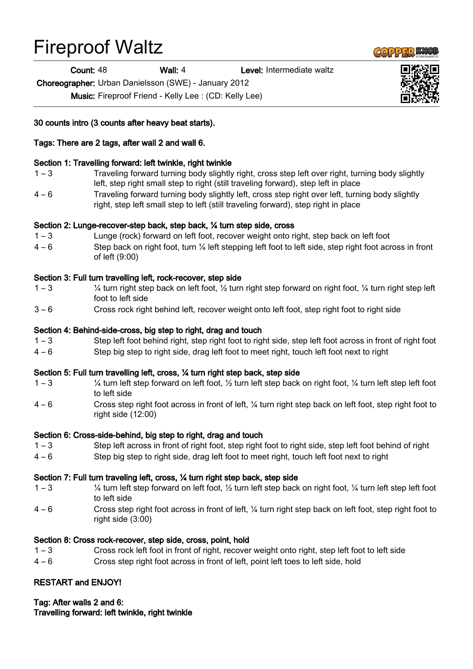# Fireproof Waltz

Count: 48 Wall: 4 Level: Intermediate waltz

Choreographer: Urban Danielsson (SWE) - January 2012

Music: Fireproof Friend - Kelly Lee : (CD: Kelly Lee)

30 counts intro (3 counts after heavy beat starts).

## Tags: There are 2 tags, after wall 2 and wall 6.

## Section 1: Travelling forward: left twinkle, right twinkle

- 1 3 Traveling forward turning body slightly right, cross step left over right, turning body slightly left, step right small step to right (still traveling forward), step left in place
- 4 6 Traveling forward turning body slightly left, cross step right over left, turning body slightly right, step left small step to left (still traveling forward), step right in place

## Section 2: Lunge-recover-step back, step back, ¼ turn step side, cross

- 1 3 Lunge (rock) forward on left foot, recover weight onto right, step back on left foot
- 4 6 Step back on right foot, turn ¼ left stepping left foot to left side, step right foot across in front of left (9:00)

## Section 3: Full turn travelling left, rock-recover, step side

- 1 3  $\frac{1}{4}$  turn right step back on left foot,  $\frac{1}{2}$  turn right step forward on right foot,  $\frac{1}{4}$  turn right step left foot to left side
- 3 6 Cross rock right behind left, recover weight onto left foot, step right foot to right side

#### Section 4: Behind-side-cross, big step to right, drag and touch

- 1 3 Step left foot behind right, step right foot to right side, step left foot across in front of right foot
- 4 6 Step big step to right side, drag left foot to meet right, touch left foot next to right

#### Section 5: Full turn travelling left, cross, ¼ turn right step back, step side

- 1 3 ¼ turn left step forward on left foot, ½ turn left step back on right foot, ¼ turn left step left foot to left side
- 4 6 Cross step right foot across in front of left, ¼ turn right step back on left foot, step right foot to right side (12:00)

#### Section 6: Cross-side-behind, big step to right, drag and touch

- 1 3 Step left across in front of right foot, step right foot to right side, step left foot behind of right
- 4 6 Step big step to right side, drag left foot to meet right, touch left foot next to right

# Section 7: Full turn traveling left, cross, ¼ turn right step back, step side

- 1 3  $\frac{1}{4}$  turn left step forward on left foot,  $\frac{1}{2}$  turn left step back on right foot,  $\frac{1}{4}$  turn left step left foot to left side
- 4 6 Cross step right foot across in front of left, ¼ turn right step back on left foot, step right foot to right side (3:00)

# Section 8: Cross rock-recover, step side, cross, point, hold

- 1 3 Cross rock left foot in front of right, recover weight onto right, step left foot to left side
- 4 6 Cross step right foot across in front of left, point left toes to left side, hold

# RESTART and ENJOY!

Tag: After walls 2 and 6: Travelling forward: left twinkle, right twinkle